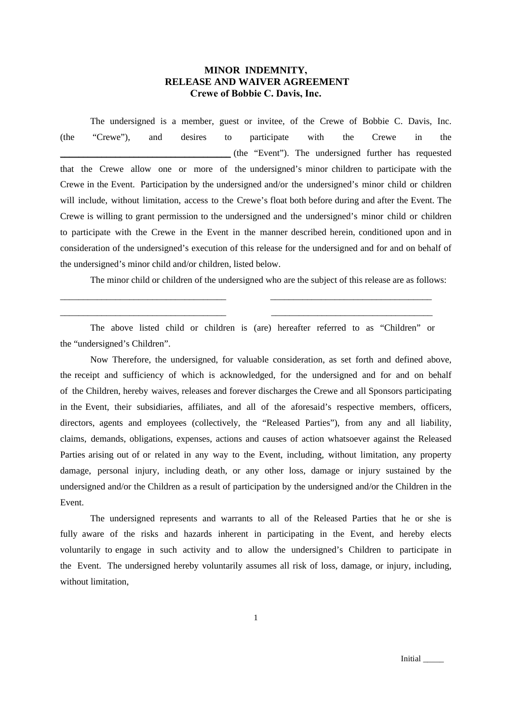## **MINOR INDEMNITY, RELEASE AND WAIVER AGREEMENT Crewe of Bobbie C. Davis, Inc.**

The undersigned is a member, guest or invitee, of the Crewe of Bobbie C. Davis, Inc. (the "Crewe"), and desires to participate with the Crewe in the \_\_\_\_\_\_\_\_\_\_\_\_\_\_\_\_\_\_\_\_\_\_\_\_\_\_\_\_\_\_\_\_\_\_\_\_\_ (the "Event"). The undersigned further has requested that the Crewe allow one or more of the undersigned's minor children to participate with the Crewe in the Event. Participation by the undersigned and/or the undersigned's minor child or children will include, without limitation, access to the Crewe's float both before during and after the Event. The Crewe is willing to grant permission to the undersigned and the undersigned's minor child or children to participate with the Crewe in the Event in the manner described herein, conditioned upon and in consideration of the undersigned's execution of this release for the undersigned and for and on behalf of the undersigned's minor child and/or children, listed below.

The minor child or children of the undersigned who are the subject of this release are as follows:

The above listed child or children is (are) hereafter referred to as "Children" or the "undersigned's Children".

\_\_\_\_\_\_\_\_\_\_\_\_\_\_\_\_\_\_\_\_\_\_\_\_\_\_\_\_\_\_\_\_\_\_\_\_ \_\_\_\_\_\_\_\_\_\_\_\_\_\_\_\_\_\_\_\_\_\_\_\_\_\_\_\_\_\_\_\_\_\_\_ \_\_\_\_\_\_\_\_\_\_\_\_\_\_\_\_\_\_\_\_\_\_\_\_\_\_\_\_\_\_\_\_\_\_\_\_ \_\_\_\_\_\_\_\_\_\_\_\_\_\_\_\_\_\_\_\_\_\_\_\_\_\_\_\_\_\_\_\_\_\_\_

Now Therefore, the undersigned, for valuable consideration, as set forth and defined above, the receipt and sufficiency of which is acknowledged, for the undersigned and for and on behalf of the Children, hereby waives, releases and forever discharges the Crewe and all Sponsors participating in the Event, their subsidiaries, affiliates, and all of the aforesaid's respective members, officers, directors, agents and employees (collectively, the "Released Parties"), from any and all liability, claims, demands, obligations, expenses, actions and causes of action whatsoever against the Released Parties arising out of or related in any way to the Event, including, without limitation, any property damage, personal injury, including death, or any other loss, damage or injury sustained by the undersigned and/or the Children as a result of participation by the undersigned and/or the Children in the Event.

The undersigned represents and warrants to all of the Released Parties that he or she is fully aware of the risks and hazards inherent in participating in the Event, and hereby elects voluntarily to engage in such activity and to allow the undersigned's Children to participate in the Event. The undersigned hereby voluntarily assumes all risk of loss, damage, or injury, including, without limitation,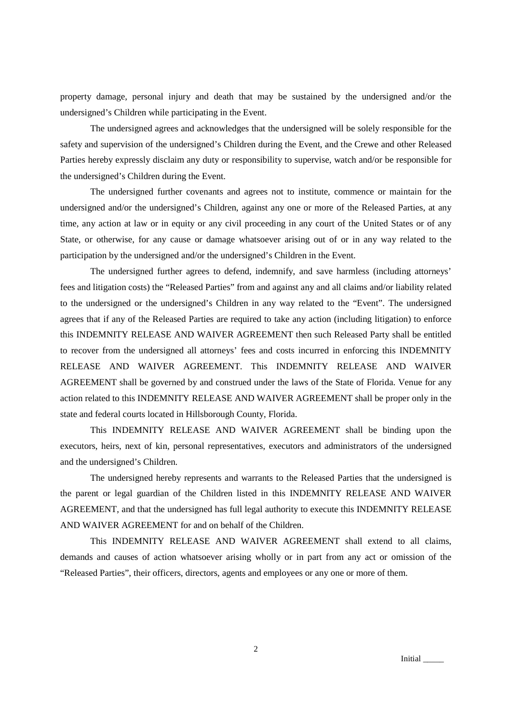property damage, personal injury and death that may be sustained by the undersigned and/or the undersigned's Children while participating in the Event.

The undersigned agrees and acknowledges that the undersigned will be solely responsible for the safety and supervision of the undersigned's Children during the Event, and the Crewe and other Released Parties hereby expressly disclaim any duty or responsibility to supervise, watch and/or be responsible for the undersigned's Children during the Event.

The undersigned further covenants and agrees not to institute, commence or maintain for the undersigned and/or the undersigned's Children, against any one or more of the Released Parties, at any time, any action at law or in equity or any civil proceeding in any court of the United States or of any State, or otherwise, for any cause or damage whatsoever arising out of or in any way related to the participation by the undersigned and/or the undersigned's Children in the Event.

The undersigned further agrees to defend, indemnify, and save harmless (including attorneys' fees and litigation costs) the "Released Parties" from and against any and all claims and/or liability related to the undersigned or the undersigned's Children in any way related to the "Event". The undersigned agrees that if any of the Released Parties are required to take any action (including litigation) to enforce this INDEMNITY RELEASE AND WAIVER AGREEMENT then such Released Party shall be entitled to recover from the undersigned all attorneys' fees and costs incurred in enforcing this INDEMNITY RELEASE AND WAIVER AGREEMENT. This INDEMNITY RELEASE AND WAIVER AGREEMENT shall be governed by and construed under the laws of the State of Florida. Venue for any action related to this INDEMNITY RELEASE AND WAIVER AGREEMENT shall be proper only in the state and federal courts located in Hillsborough County, Florida.

This INDEMNITY RELEASE AND WAIVER AGREEMENT shall be binding upon the executors, heirs, next of kin, personal representatives, executors and administrators of the undersigned and the undersigned's Children.

The undersigned hereby represents and warrants to the Released Parties that the undersigned is the parent or legal guardian of the Children listed in this INDEMNITY RELEASE AND WAIVER AGREEMENT, and that the undersigned has full legal authority to execute this INDEMNITY RELEASE AND WAIVER AGREEMENT for and on behalf of the Children.

This INDEMNITY RELEASE AND WAIVER AGREEMENT shall extend to all claims, demands and causes of action whatsoever arising wholly or in part from any act or omission of the "Released Parties", their officers, directors, agents and employees or any one or more of them.